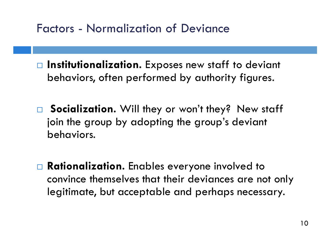- □ Institutionalization. Exposes new staff to deviant behaviors, often performed by authority figures.
- □ Socialization. Will they or won't they? New staff join the group by adopting the group's deviant behaviors.
- **Rationalization.** Enables everyone involved to convince themselves that their deviances are not only legitimate, but acceptable and perhaps necessary.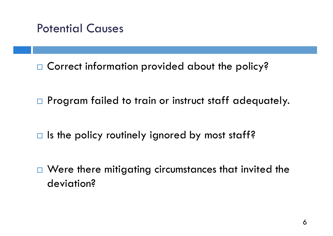

 $\Box$  Were there mitigating circumstances that invited the deviation?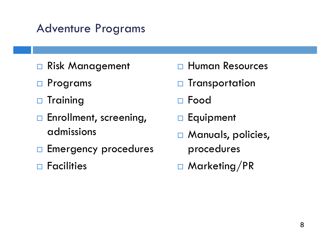### Adventure Programs

- □ Risk Management
- □ Programs
- $\Box$  Training
- □ Enrollment, screening, admissions
- **Emergency procedures**
- $\Box$  Facilities

□ Human Resources  $\Box$  Transportation Food **Equipment Manuals**, policies, procedures □ Marketing/PR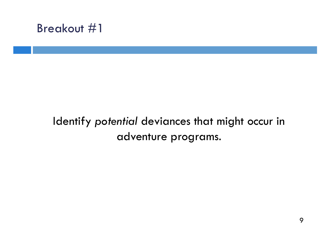#### Breakout #1

# WWW.nols.edu/v EX 2999-012 (008) EMENT CONFERENCE **GNATUS**<br>GAATUS

#### Identify *potential* deviances that might occur in adventure programs.

without the consent of the author  $20\, \rm{C}$ without the consent of the author  $20$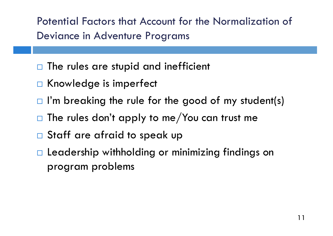Potential Factors that Account for the Normalization of Deviance in Adventure Programs

- The rules are stupid and inefficient
- Knowledge is imperfect
- I'm breaking the rule for the good of my student(s)
- The rules don't apply to me/You can trust me
- Staff are afraid to speak up
- Leadership withholding or minimizing findings on program problems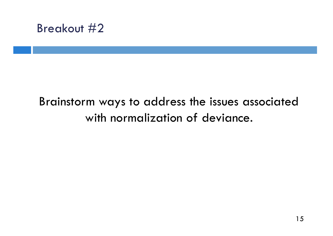

15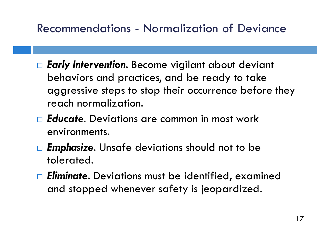## Recommendations - Normalization of Deviance

- *Early Intervention.* Become vigilant about deviant behaviors and practices, and be ready to take aggressive steps to stop their occurrence before they reach normalization.
- *Educate*. Deviations are common in most work environments.
- *Emphasize*. Unsafe deviations should not to be tolerated.
- *Eliminate.* Deviations must be identified, examined and stopped whenever safety is jeopardized.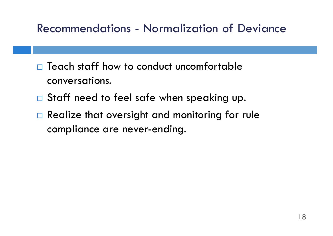## Recommendations - Normalization of Deviance

- Teach staff how to conduct uncomfortable conversations.
- □ Staff need to feel safe when speaking up.
- Realize that oversight and monitoring for rule compliance are never-ending.

18 without the consent of the author 2015

210-6657 x3